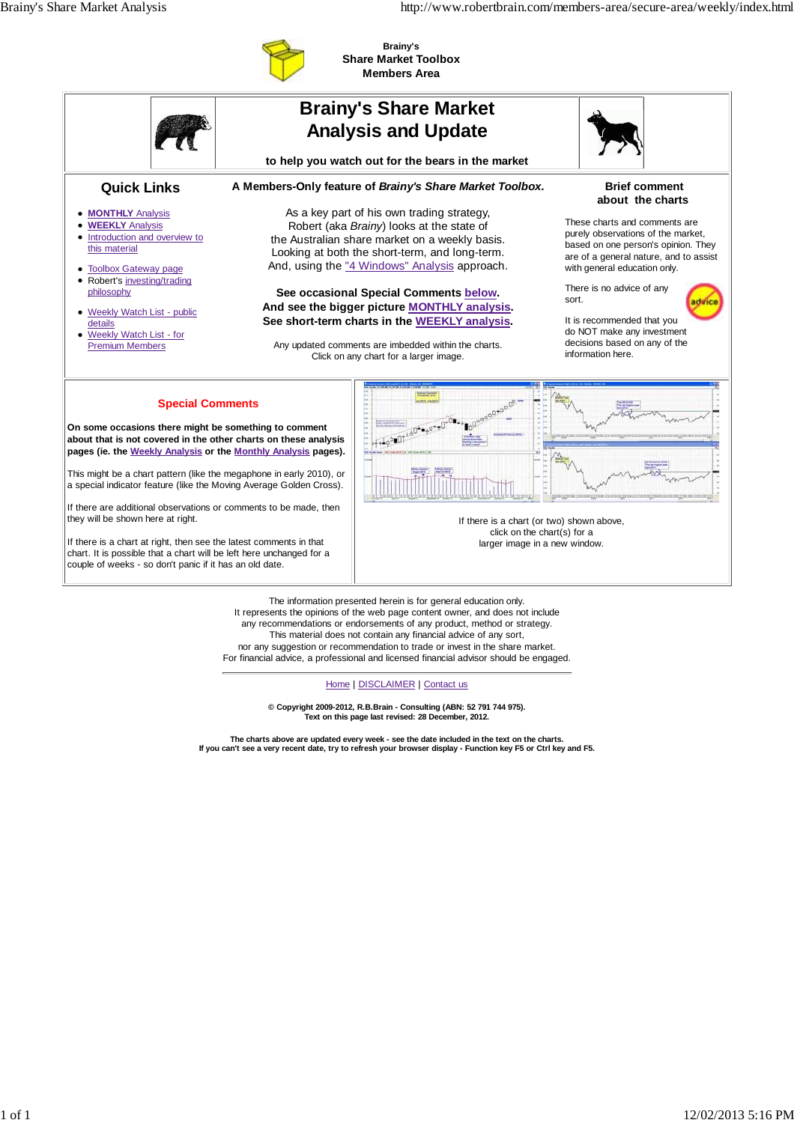

**Brainy's Share Market Toolbox Members Area**

|                                                                                                                                                                                                                                                                                                                                                                                                                                                                                                                                                                                                                              |  | <b>Brainy's Share Market</b><br><b>Analysis and Update</b>                                                                                                                                                                                                                                                                                                                                                                                                                                |                                                                                                                                                                                                                                                                                                                                              |
|------------------------------------------------------------------------------------------------------------------------------------------------------------------------------------------------------------------------------------------------------------------------------------------------------------------------------------------------------------------------------------------------------------------------------------------------------------------------------------------------------------------------------------------------------------------------------------------------------------------------------|--|-------------------------------------------------------------------------------------------------------------------------------------------------------------------------------------------------------------------------------------------------------------------------------------------------------------------------------------------------------------------------------------------------------------------------------------------------------------------------------------------|----------------------------------------------------------------------------------------------------------------------------------------------------------------------------------------------------------------------------------------------------------------------------------------------------------------------------------------------|
|                                                                                                                                                                                                                                                                                                                                                                                                                                                                                                                                                                                                                              |  | to help you watch out for the bears in the market                                                                                                                                                                                                                                                                                                                                                                                                                                         |                                                                                                                                                                                                                                                                                                                                              |
| <b>Quick Links</b>                                                                                                                                                                                                                                                                                                                                                                                                                                                                                                                                                                                                           |  | A Members-Only feature of Brainy's Share Market Toolbox.                                                                                                                                                                                                                                                                                                                                                                                                                                  | <b>Brief comment</b><br>about the charts                                                                                                                                                                                                                                                                                                     |
| • <b>MONTHLY</b> Analysis<br><b>WEEKLY Analysis</b><br>٠<br>• Introduction and overview to<br>this material<br>• Toolbox Gateway page<br>• Robert's investing/trading<br>philosophy<br>• Weekly Watch List - public<br>details<br>• Weekly Watch List - for<br><b>Premium Members</b>                                                                                                                                                                                                                                                                                                                                        |  | As a key part of his own trading strategy,<br>Robert (aka Brainy) looks at the state of<br>the Australian share market on a weekly basis.<br>Looking at both the short-term, and long-term.<br>And, using the "4 Windows" Analysis approach.<br>See occasional Special Comments below.<br>And see the bigger picture MONTHLY analysis.<br>See short-term charts in the WEEKLY analysis.<br>Any updated comments are imbedded within the charts.<br>Click on any chart for a larger image. | These charts and comments are<br>purely observations of the market,<br>based on one person's opinion. They<br>are of a general nature, and to assist<br>with general education only.<br>There is no advice of any<br>sort.<br>It is recommended that you<br>do NOT make any investment<br>decisions based on any of the<br>information here. |
| <b>Special Comments</b><br>On some occasions there might be something to comment<br>about that is not covered in the other charts on these analysis<br>pages (ie. the Weekly Analysis or the Monthly Analysis pages).<br>This might be a chart pattern (like the megaphone in early 2010), or<br>a special indicator feature (like the Moving Average Golden Cross).<br>If there are additional observations or comments to be made, then<br>they will be shown here at right.<br>If there is a chart at right, then see the latest comments in that<br>chart. It is possible that a chart will be left here unchanged for a |  | If there is a chart (or two) shown above,<br>click on the chart(s) for a<br>larger image in a new window.                                                                                                                                                                                                                                                                                                                                                                                 |                                                                                                                                                                                                                                                                                                                                              |

It represents the opinions of the web page content owner, and does not include any recommendations or endorsements of any product, method or strategy. This material does not contain any financial advice of any sort, nor any suggestion or recommendation to trade or invest in the share market. For financial advice, a professional and licensed financial advisor should be engaged.

Home | DISCLAIMER | Contact us

**© Copyright 2009-2012, R.B.Brain - Consulting (ABN: 52 791 744 975). Text on this page last revised: 28 December, 2012.**

**The charts above are updated every week - see the date included in the text on the charts. If you can't see a very recent date, try to refresh your browser display - Function key F5 or Ctrl key and F5.**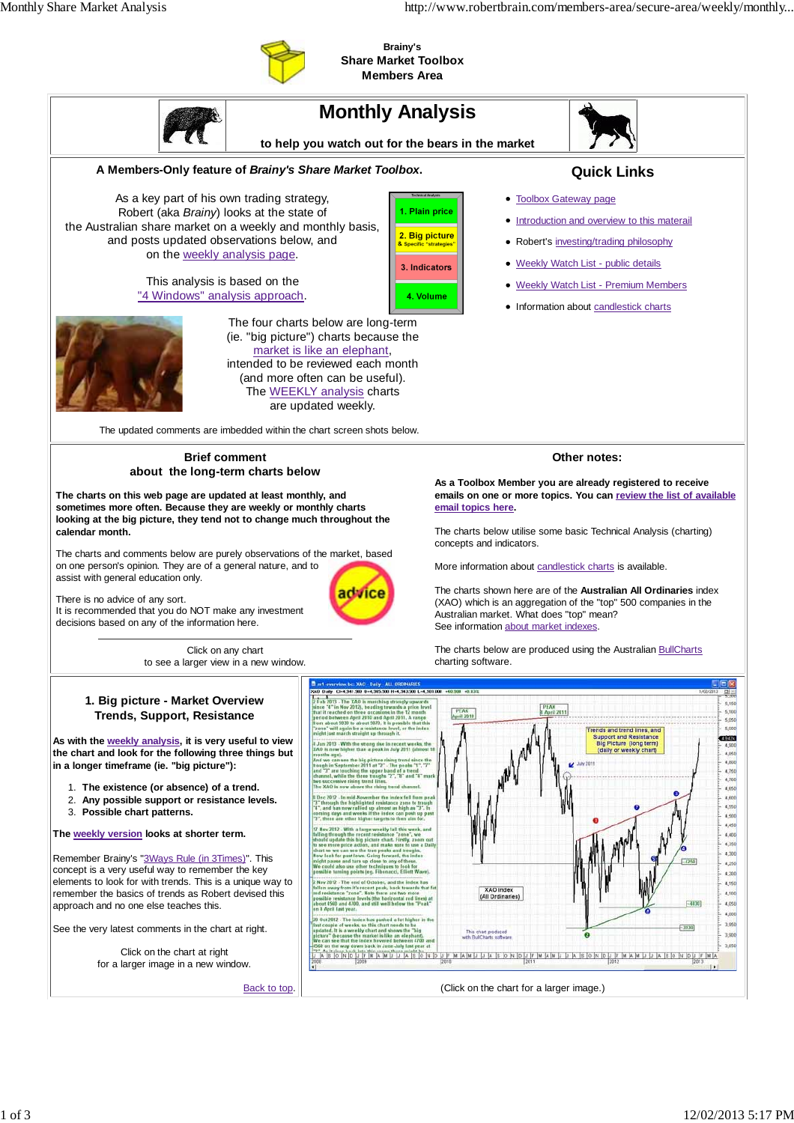

**Brainy's Share Market Toolbox Members Area**

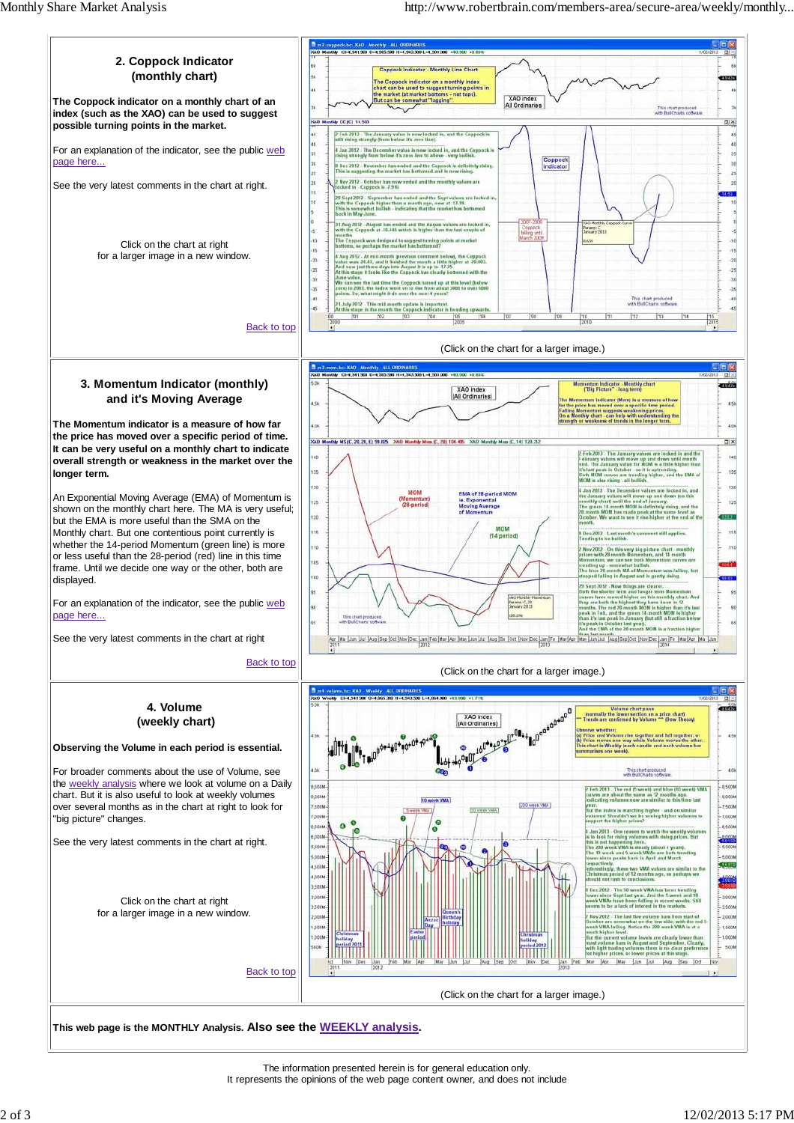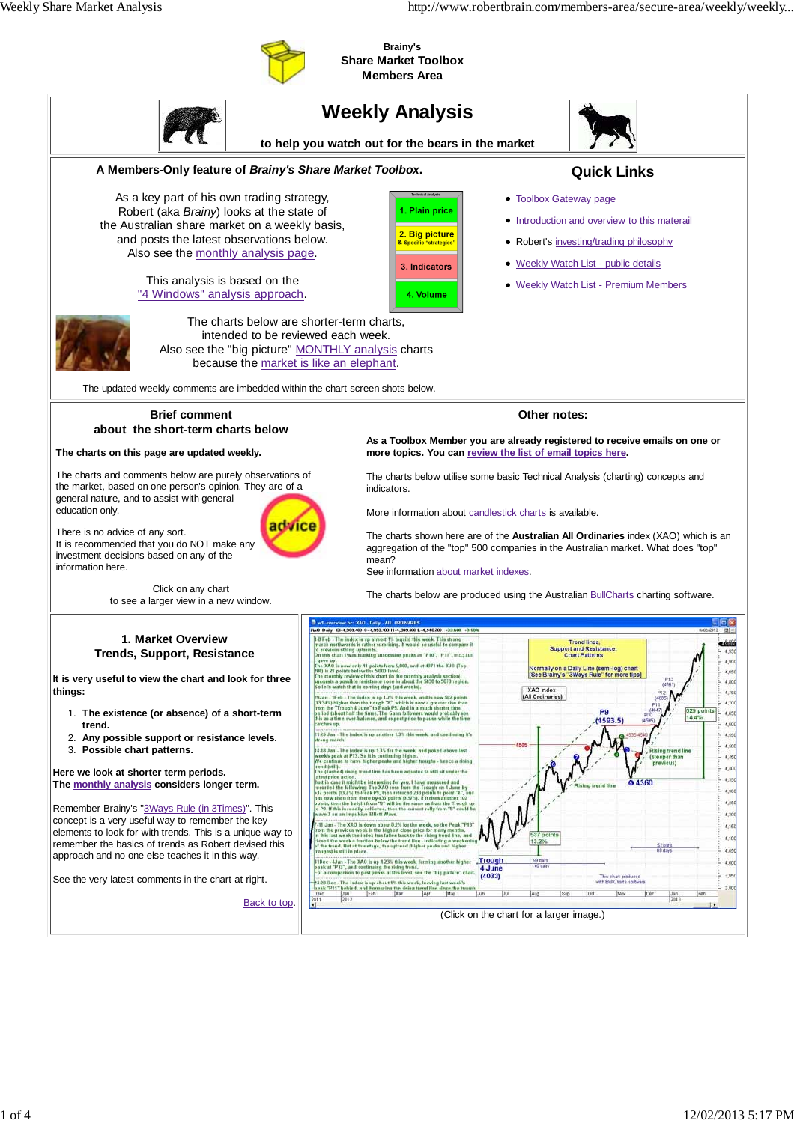

**Brainy's Share Market Toolbox Members Area**

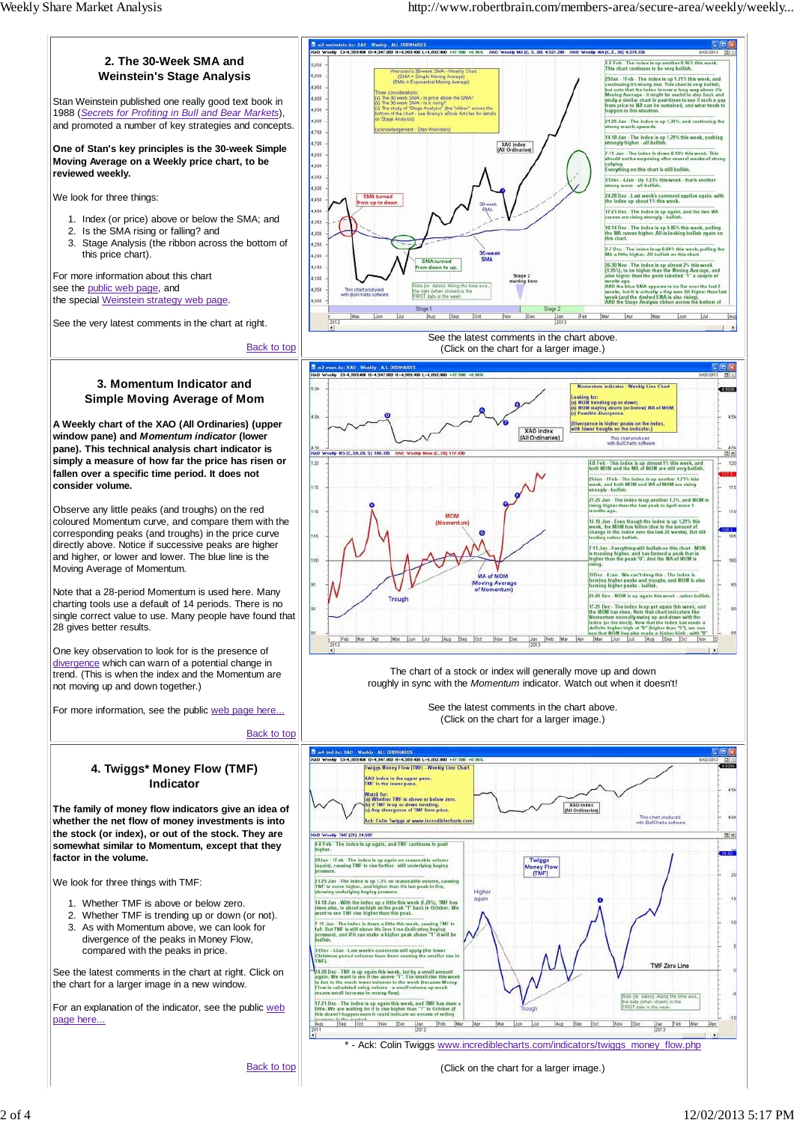

Back to top

2 of 4 12/02/2013 5:17 PM

(Click on the chart for a larger image.)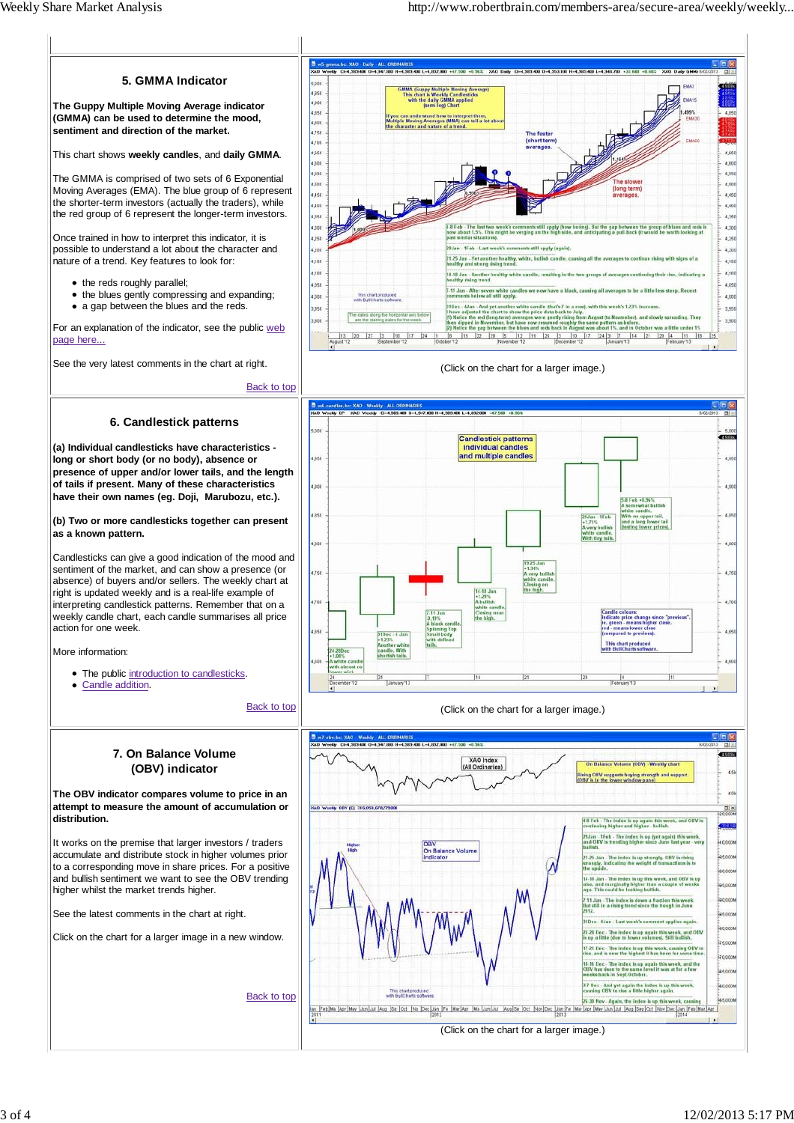